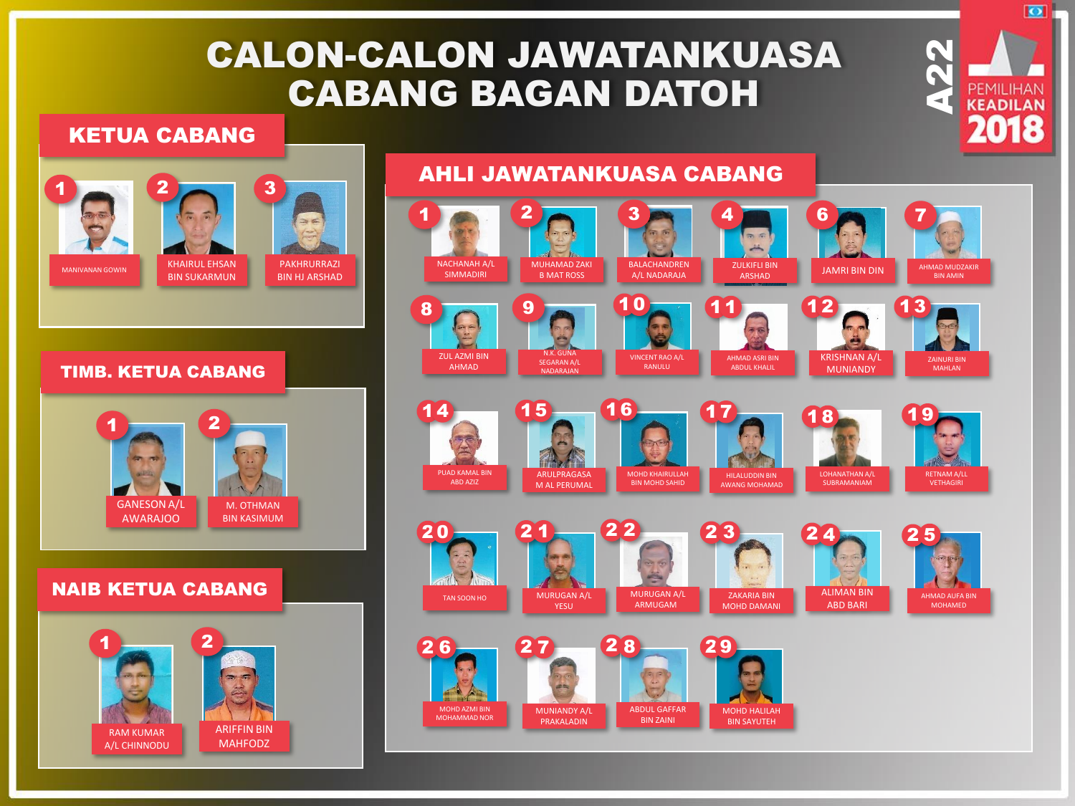# CALON-CALON JAWATANKUASA CABANG BAGAN DATOH

AHLI JAWATANKUASA CABANG

### KETUA CABANG



M. OTHMAN BIN KASIMUM

GANESON A/L **AWARAIOO** 

#### NAIB KETUA CABANG



#### $1$  and  $2$   $\sim$   $3$   $\sim$   $1$   $4$   $\sim$   $1$   $6$   $\sim$   $1$   $7$  $m =$ NACHANAH A/L MUHAMAD ZAKI BALACHANDREN ZULKIFLI BIN **JAMRI BIN DIN AHMAD MUDZAKIR** SIMMADIRI A/L NADARAJA B MAT ROSS BIN AMIN  $8$   $\sim$  9  $\sim$  10  $\sim$  11  $\sim$  12  $\sim$  13 10ZUL AZMI BIN N.K. GUNA KRISHNAN A/L VINCENT RAO A/L AHMAD ASRI BIN ZAINURI BIN SEGARAN A/L AHMAD RANULU ABDUL KHALIL MUNIANDY MAHLAN NADARAJAN  $14 - 15$ 16 17 18 19 PUAD KAMAL BIN ARULPRAGASA MOHD KHAIRULLAH RETNAM A/LL HILALUDDIN BIN ABD AZIZ BIN MOHD SAHID AWANG MOHAMAD **SUBRAMANIAM** VETHAGIRI M AL PERUMAL  $2^2$   $2^3$   $2^4$ 20 2 5 ALIMAN BIN MURUGAN A/L TAN SOON HO MURUGAN A/L ZAKARIA BIN AHMAD AUFA BIN ABD BARI ARMUGAM MOHAMED YESU MOHD DAMANI  $26 - 27$ 2 d MOHD AZMI BIN ABDUL GAFFAR MUNIANDY A/L MOHD HALILAH MOHAMMAD NOR PRAKALADIN BIN ZAINI BIN SAYUTEH

 $\underbrace{\mathsf{A22}}$ 

 $\overline{\bullet}$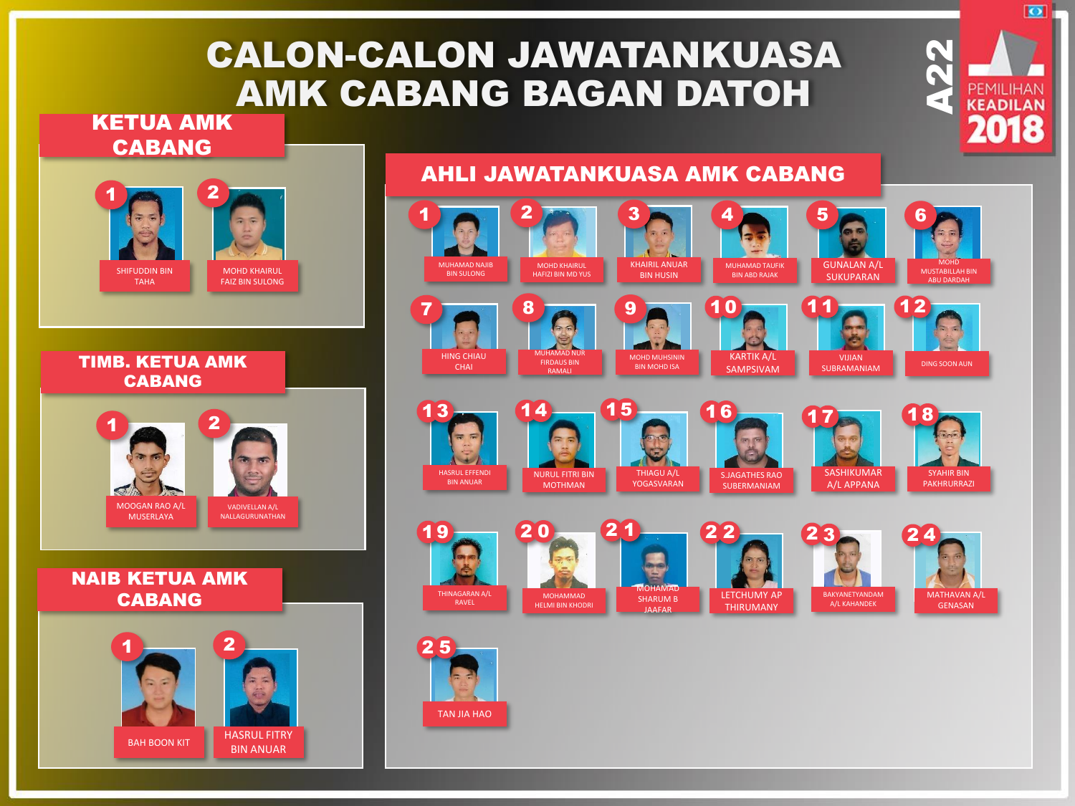# CALON-CALON JAWATANKUASA AMK CABANG BAGAN DATOH

### KETUA AMK CABANG



HASRUL FITRY **BIN ANUAR** 

BAH BOON KIT

## AHLI JAWATANKUASA AMK CABANG



 $\underbrace{\mathsf{A22}}$ 

 $\overline{\bullet}$